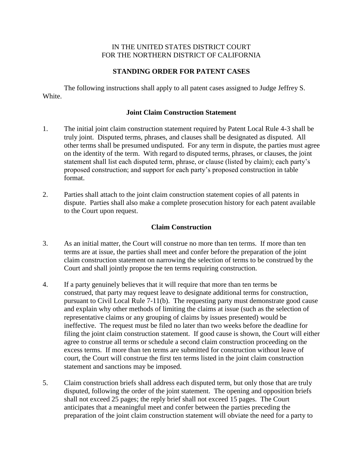#### IN THE UNITED STATES DISTRICT COURT FOR THE NORTHERN DISTRICT OF CALIFORNIA

# **STANDING ORDER FOR PATENT CASES**

The following instructions shall apply to all patent cases assigned to Judge Jeffrey S. White.

#### **Joint Claim Construction Statement**

- 1. The initial joint claim construction statement required by Patent Local Rule 4-3 shall be truly joint. Disputed terms, phrases, and clauses shall be designated as disputed. All other terms shall be presumed undisputed. For any term in dispute, the parties must agree on the identity of the term. With regard to disputed terms, phrases, or clauses, the joint statement shall list each disputed term, phrase, or clause (listed by claim); each party's proposed construction; and support for each party's proposed construction in table format.
- 2. Parties shall attach to the joint claim construction statement copies of all patents in dispute. Parties shall also make a complete prosecution history for each patent available to the Court upon request.

### **Claim Construction**

- 3. As an initial matter, the Court will construe no more than ten terms. If more than ten terms are at issue, the parties shall meet and confer before the preparation of the joint claim construction statement on narrowing the selection of terms to be construed by the Court and shall jointly propose the ten terms requiring construction.
- 4. If a party genuinely believes that it will require that more than ten terms be construed, that party may request leave to designate additional terms for construction, pursuant to Civil Local Rule 7-11(b). The requesting party must demonstrate good cause and explain why other methods of limiting the claims at issue (such as the selection of representative claims or any grouping of claims by issues presented) would be ineffective. The request must be filed no later than two weeks before the deadline for filing the joint claim construction statement. If good cause is shown, the Court will either agree to construe all terms or schedule a second claim construction proceeding on the excess terms. If more than ten terms are submitted for construction without leave of court, the Court will construe the first ten terms listed in the joint claim construction statement and sanctions may be imposed.
- 5. Claim construction briefs shall address each disputed term, but only those that are truly disputed, following the order of the joint statement. The opening and opposition briefs shall not exceed 25 pages; the reply brief shall not exceed 15 pages. The Court anticipates that a meaningful meet and confer between the parties preceding the preparation of the joint claim construction statement will obviate the need for a party to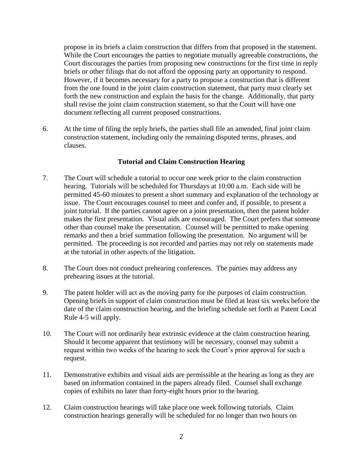propose in its briefs a claim construction that differs from that proposed in the statement. While the Court encourages the parties to negotiate mutually agreeable constructions, the Court discourages the parties from proposing new constructions for the first time in reply briefs or other filings that do not afford the opposing party an opportunity to respond. However, if it becomes necessary for a party to propose a construction that is different from the one found in the joint claim construction statement, that party must clearly set forth the new construction and explain the basis for the change. Additionally, that party shall revise the joint claim construction statement, so that the Court will have one document reflecting all current proposed constructions.

6. At the time of filing the reply briefs, the parties shall file an amended, final joint claim construction statement, including only the remaining disputed terms, phrases, and clauses.

### **Tutorial and Claim Construction Hearing**

- 7. The Court will schedule a tutorial to occur one week prior to the claim construction hearing. Tutorials will be scheduled for Thursdays at 10:00 a.m. Each side will be permitted 45-60 minutes to present a short summary and explanation of the technology at issue. The Court encourages counsel to meet and confer and, if possible, to present a joint tutorial. If the parties cannot agree on a joint presentation, then the patent holder makes the first presentation. Visual aids are encouraged. The Court prefers that someone other than counsel make the presentation. Counsel will be permitted to make opening remarks and then a brief summation following the presentation. No argument will be permitted. The proceeding is not recorded and parties may not rely on statements made at the tutorial in other aspects of the litigation.
- 8. The Court does not conduct prehearing conferences. The parties may address any prehearing issues at the tutorial.
- 9. The patent holder will act as the moving party for the purposes of claim construction. Opening briefs in support of claim construction must be filed at least six weeks before the date of the claim construction hearing, and the briefing schedule set forth at Patent Local Rule 4-5 will apply.
- 10. The Court will not ordinarily hear extrinsic evidence at the claim construction hearing. Should it become apparent that testimony will be necessary, counsel may submit a request within two weeks of the hearing to seek the Court's prior approval for such a request.
- 11. Demonstrative exhibits and visual aids are permissible at the hearing as long as they are based on information contained in the papers already filed. Counsel shall exchange copies of exhibits no later than forty-eight hours prior to the hearing.
- 12. Claim construction hearings will take place one week following tutorials. Claim construction hearings generally will be scheduled for no longer than two hours on